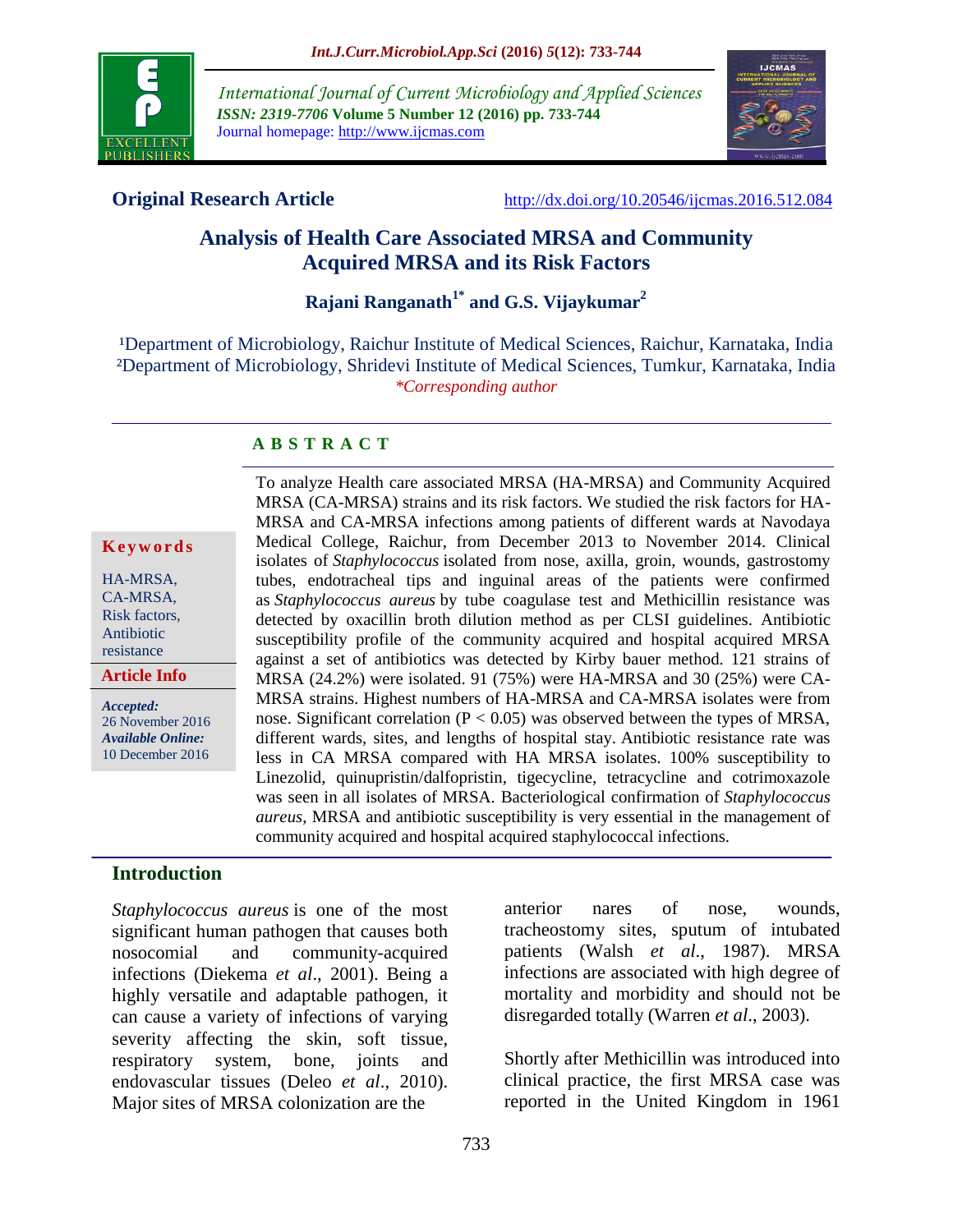

*International Journal of Current Microbiology and Applied Sciences ISSN: 2319-7706* **Volume 5 Number 12 (2016) pp. 733-744** Journal homepage: http://www.ijcmas.com



**Original Research Article** <http://dx.doi.org/10.20546/ijcmas.2016.512.084>

# **Analysis of Health Care Associated MRSA and Community Acquired MRSA and its Risk Factors**

# **Rajani Ranganath1\* and G.S. Vijaykumar<sup>2</sup>**

<sup>1</sup>Department of Microbiology, Raichur Institute of Medical Sciences, Raichur, Karnataka, India ²Department of Microbiology, Shridevi Institute of Medical Sciences, Tumkur, Karnataka, India *\*Corresponding author*

#### **A B S T R A C T**

#### **K e y w o r d s**

HA-MRSA, CA-MRSA, Risk factors, Antibiotic resistance

#### **Article Info**

*Accepted:*  26 November 2016 *Available Online:* 10 December 2016

To analyze Health care associated MRSA (HA-MRSA) and Community Acquired MRSA (CA-MRSA) strains and its risk factors. We studied the risk factors for HA-MRSA and CA-MRSA infections among patients of different wards at Navodaya Medical College, Raichur, from December 2013 to November 2014. Clinical isolates of *Staphylococcus* isolated from nose, axilla, groin, wounds, gastrostomy tubes, endotracheal tips and inguinal areas of the patients were confirmed as *Staphylococcus aureus* by tube coagulase test and Methicillin resistance was detected by oxacillin broth dilution method as per CLSI guidelines. Antibiotic susceptibility profile of the community acquired and hospital acquired MRSA against a set of antibiotics was detected by Kirby bauer method. 121 strains of MRSA (24.2%) were isolated. 91 (75%) were HA-MRSA and 30 (25%) were CA-MRSA strains. Highest numbers of HA-MRSA and CA-MRSA isolates were from nose. Significant correlation ( $P < 0.05$ ) was observed between the types of MRSA, different wards, sites, and lengths of hospital stay. Antibiotic resistance rate was less in CA MRSA compared with HA MRSA isolates. 100% susceptibility to Linezolid, quinupristin/dalfopristin, tigecycline, tetracycline and cotrimoxazole was seen in all isolates of MRSA. Bacteriological confirmation of *Staphylococcus aureus*, MRSA and antibiotic susceptibility is very essential in the management of community acquired and hospital acquired staphylococcal infections.

#### **Introduction**

*Staphylococcus aureus* is one of the most significant human pathogen that causes both nosocomial and community-acquired infections (Diekema *et al*., 2001). Being a highly versatile and adaptable pathogen, it can cause a variety of infections of varying severity affecting the skin, soft tissue, respiratory system, bone, joints and endovascular tissues (Deleo *et al*., 2010). Major sites of MRSA colonization are the

anterior nares of nose, wounds, tracheostomy sites, sputum of intubated patients (Walsh *et al*., 1987). MRSA infections are associated with high degree of mortality and morbidity and should not be disregarded totally (Warren *et al*., 2003).

Shortly after Methicillin was introduced into clinical practice, the first MRSA case was reported in the United Kingdom in 1961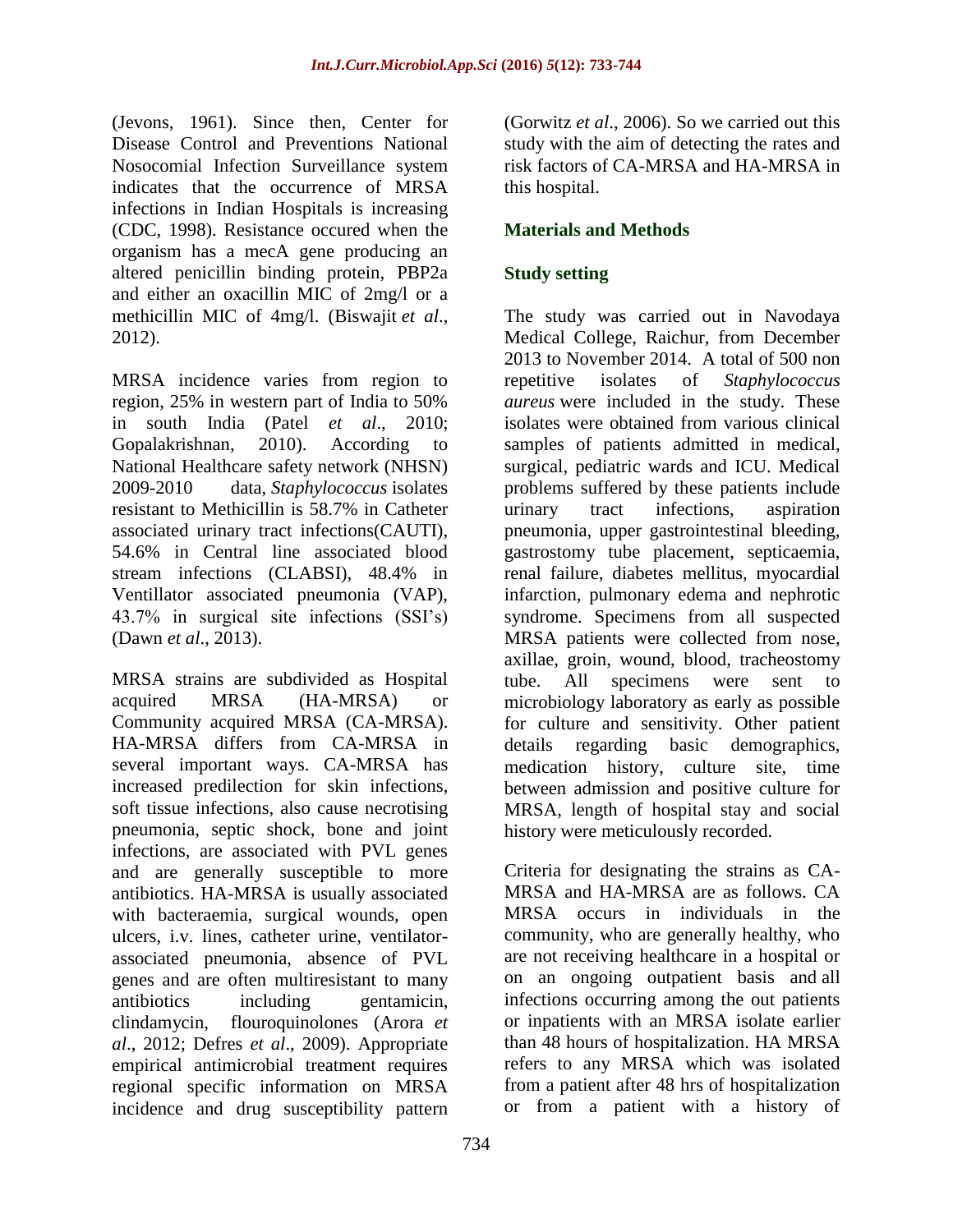(Jevons, 1961). Since then, Center for Disease Control and Preventions National Nosocomial Infection Surveillance system indicates that the occurrence of MRSA infections in Indian Hospitals is increasing (CDC, 1998). Resistance occured when the organism has a mecA gene producing an altered penicillin binding protein, PBP2a and either an oxacillin MIC of 2mg/l or a methicillin MIC of 4mg/l. (Biswajit *et al*., 2012).

MRSA incidence varies from region to region, 25% in western part of India to 50% in south India (Patel *et al*., 2010; Gopalakrishnan, 2010). According to National Healthcare safety network (NHSN) 2009-2010 data, *Staphylococcus* isolates resistant to Methicillin is 58.7% in Catheter associated urinary tract infections(CAUTI), 54.6% in Central line associated blood stream infections (CLABSI), 48.4% in Ventillator associated pneumonia (VAP), 43.7% in surgical site infections (SSI's) (Dawn *et al*., 2013).

MRSA strains are subdivided as Hospital acquired MRSA (HA-MRSA) or Community acquired MRSA (CA-MRSA). HA-MRSA differs from CA-MRSA in several important ways. CA-MRSA has increased predilection for skin infections, soft tissue infections, also cause necrotising pneumonia, septic shock, bone and joint infections, are associated with PVL genes and are generally susceptible to more antibiotics. HA-MRSA is usually associated with bacteraemia, surgical wounds, open ulcers, i.v. lines, catheter urine, ventilatorassociated pneumonia, absence of PVL genes and are often multiresistant to many antibiotics including gentamicin, clindamycin, flouroquinolones (Arora *et al*., 2012; Defres *et al*., 2009). Appropriate empirical antimicrobial treatment requires regional specific information on MRSA incidence and drug susceptibility pattern

(Gorwitz *et al*., 2006). So we carried out this study with the aim of detecting the rates and risk factors of CA-MRSA and HA-MRSA in this hospital.

# **Materials and Methods**

# **Study setting**

The study was carried out in Navodaya Medical College, Raichur, from December 2013 to November 2014. A total of 500 non repetitive isolates of *Staphylococcus aureus* were included in the study. These isolates were obtained from various clinical samples of patients admitted in medical, surgical, pediatric wards and ICU. Medical problems suffered by these patients include urinary tract infections, aspiration pneumonia, upper gastrointestinal bleeding, gastrostomy tube placement, septicaemia, renal failure, diabetes mellitus, myocardial infarction, pulmonary edema and nephrotic syndrome. Specimens from all suspected MRSA patients were collected from nose, axillae, groin, wound, blood, tracheostomy tube. All specimens were sent to microbiology laboratory as early as possible for culture and sensitivity. Other patient details regarding basic demographics, medication history, culture site, time between admission and positive culture for MRSA, length of hospital stay and social history were meticulously recorded.

Criteria for designating the strains as CA-MRSA and HA-MRSA are as follows. CA MRSA occurs in individuals in the community, who are generally healthy, who are not receiving healthcare in a hospital or on an ongoing outpatient basis and all infections occurring among the out patients or inpatients with an MRSA isolate earlier than 48 hours of hospitalization. HA MRSA refers to any MRSA which was isolated from a patient after 48 hrs of hospitalization or from a patient with a history of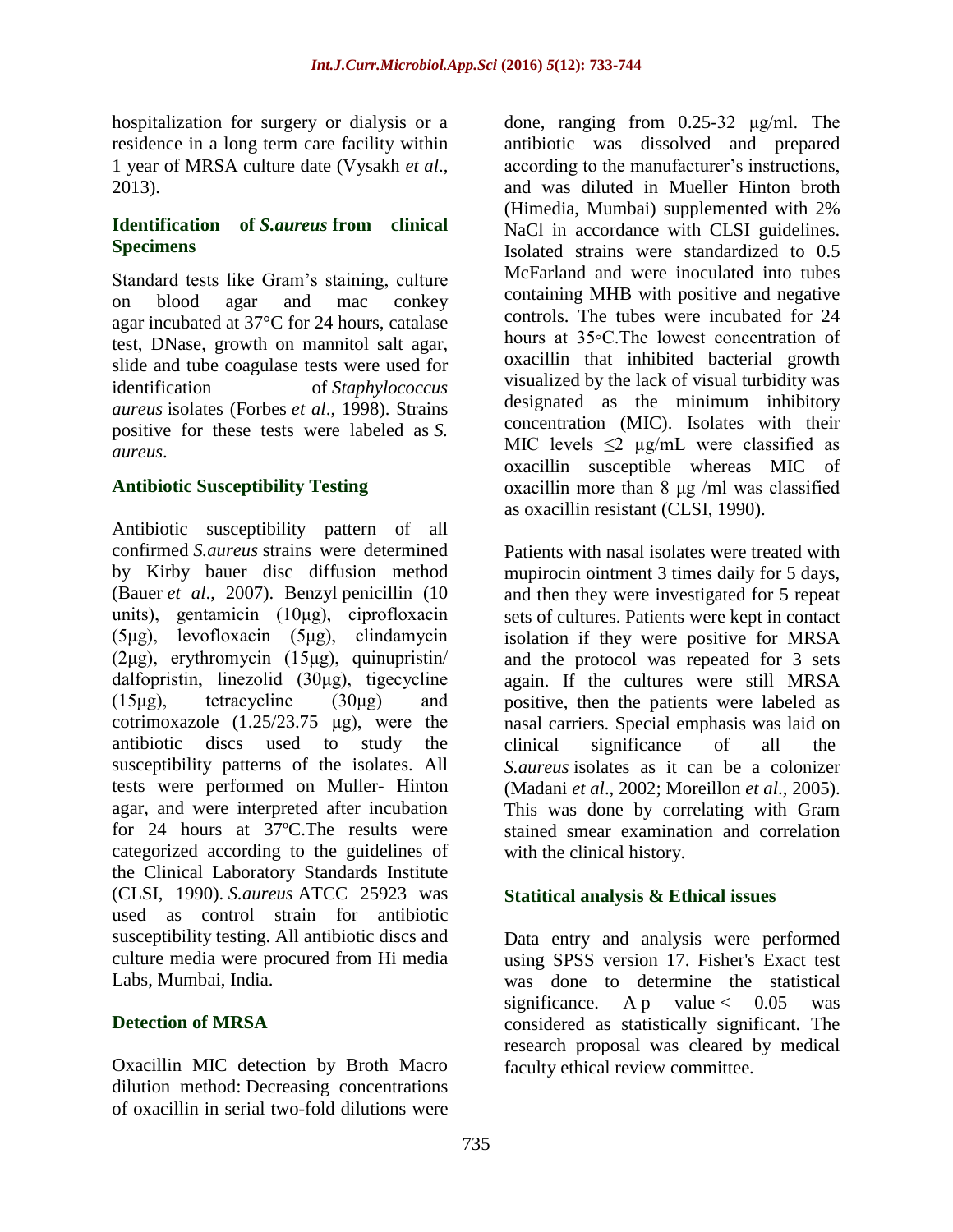hospitalization for surgery or dialysis or a residence in a long term care facility within 1 year of MRSA culture date (Vysakh *et al*., 2013).

## **Identification of** *S.aureus* **from clinical Specimens**

Standard tests like Gram's staining, culture on blood agar and mac conkey agar incubated at 37°C for 24 hours, catalase test, DNase, growth on mannitol salt agar, slide and tube coagulase tests were used for<br>identification of Stanhylococcus of *Staphylococcus aureus* isolates (Forbes *et al*., 1998). Strains positive for these tests were labeled as *S. aureus*.

## **Antibiotic Susceptibility Testing**

Antibiotic susceptibility pattern of all confirmed *S.aureus* strains were determined by Kirby bauer disc diffusion method (Bauer *et al*., 2007). Benzyl penicillin (10 units), gentamicin (10μg), ciprofloxacin (5μg), levofloxacin (5μg), clindamycin (2μg), erythromycin (15μg), quinupristin/ dalfopristin, linezolid (30μg), tigecycline (15μg), tetracycline (30μg) and cotrimoxazole  $(1.25/23.75 \mu g)$ , were the antibiotic discs used to study the susceptibility patterns of the isolates. All tests were performed on Muller- Hinton agar, and were interpreted after incubation for 24 hours at 37ºC.The results were categorized according to the guidelines of the Clinical Laboratory Standards Institute (CLSI, 1990). *S.aureus* ATCC 25923 was used as control strain for antibiotic susceptibility testing. All antibiotic discs and culture media were procured from Hi media Labs, Mumbai, India.

### **Detection of MRSA**

Oxacillin MIC detection by Broth Macro dilution method: Decreasing concentrations of oxacillin in serial two-fold dilutions were

done, ranging from 0.25-32 μg/ml. The antibiotic was dissolved and prepared according to the manufacturer's instructions, and was diluted in Mueller Hinton broth (Himedia, Mumbai) supplemented with 2% NaCl in accordance with CLSI guidelines. Isolated strains were standardized to 0.5 McFarland and were inoculated into tubes containing MHB with positive and negative controls. The tubes were incubated for 24 hours at 35◦C.The lowest concentration of oxacillin that inhibited bacterial growth visualized by the lack of visual turbidity was designated as the minimum inhibitory concentration (MIC). Isolates with their MIC levels  $\leq$   $\mu$ g/mL were classified as oxacillin susceptible whereas MIC of oxacillin more than 8 μg /ml was classified as oxacillin resistant (CLSI, 1990).

Patients with nasal isolates were treated with mupirocin ointment 3 times daily for 5 days, and then they were investigated for 5 repeat sets of cultures. Patients were kept in contact isolation if they were positive for MRSA and the protocol was repeated for 3 sets again. If the cultures were still MRSA positive, then the patients were labeled as nasal carriers. Special emphasis was laid on clinical significance of all the *S.aureus* isolates as it can be a colonizer (Madani *et al*., 2002; Moreillon *et al*., 2005). This was done by correlating with Gram stained smear examination and correlation with the clinical history.

### **Statitical analysis & Ethical issues**

Data entry and analysis were performed using SPSS version 17. Fisher's Exact test was done to determine the statistical significance. A p value  $< 0.05$  was considered as statistically significant. The research proposal was cleared by medical faculty ethical review committee.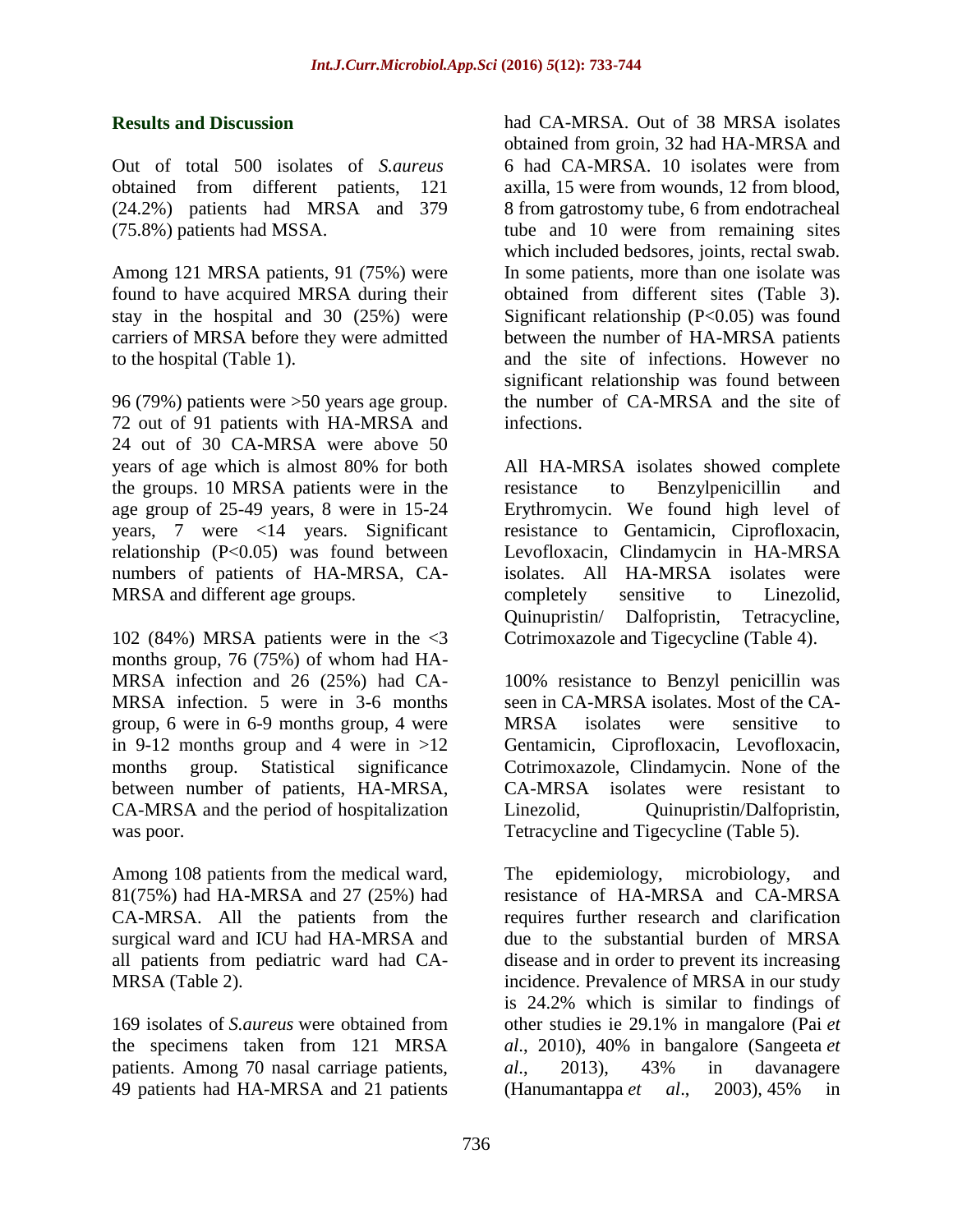#### **Results and Discussion**

Out of total 500 isolates of *S.aureus* obtained from different patients, 121 (24.2%) patients had MRSA and 379 (75.8%) patients had MSSA.

Among 121 MRSA patients, 91 (75%) were found to have acquired MRSA during their stay in the hospital and 30 (25%) were carriers of MRSA before they were admitted to the hospital (Table 1).

96 (79%) patients were >50 years age group. 72 out of 91 patients with HA-MRSA and 24 out of 30 CA-MRSA were above 50 years of age which is almost 80% for both the groups. 10 MRSA patients were in the age group of 25-49 years, 8 were in 15-24 years, 7 were <14 years. Significant relationship (P<0.05) was found between numbers of patients of HA-MRSA, CA-MRSA and different age groups.

102 (84%) MRSA patients were in the <3 months group, 76 (75%) of whom had HA-MRSA infection and 26 (25%) had CA-MRSA infection. 5 were in 3-6 months group, 6 were in 6-9 months group, 4 were in 9-12 months group and 4 were in  $>12$ months group. Statistical significance between number of patients, HA-MRSA, CA-MRSA and the period of hospitalization was poor.

Among 108 patients from the medical ward, 81(75%) had HA-MRSA and 27 (25%) had CA-MRSA. All the patients from the surgical ward and ICU had HA-MRSA and all patients from pediatric ward had CA-MRSA (Table 2).

169 isolates of *S.aureus* were obtained from the specimens taken from 121 MRSA patients. Among 70 nasal carriage patients, 49 patients had HA-MRSA and 21 patients

had CA-MRSA. Out of 38 MRSA isolates obtained from groin, 32 had HA-MRSA and 6 had CA-MRSA. 10 isolates were from axilla, 15 were from wounds, 12 from blood, 8 from gatrostomy tube, 6 from endotracheal tube and 10 were from remaining sites which included bedsores, joints, rectal swab. In some patients, more than one isolate was obtained from different sites (Table 3). Significant relationship  $(P<0.05)$  was found between the number of HA-MRSA patients and the site of infections. However no significant relationship was found between the number of CA-MRSA and the site of infections.

All HA-MRSA isolates showed complete resistance to Benzylpenicillin and Erythromycin. We found high level of resistance to Gentamicin, Ciprofloxacin, Levofloxacin, Clindamycin in HA-MRSA isolates. All HA-MRSA isolates were completely sensitive to Linezolid, Quinupristin/ Dalfopristin, Tetracycline, Cotrimoxazole and Tigecycline (Table 4).

100% resistance to Benzyl penicillin was seen in CA-MRSA isolates. Most of the CA-MRSA isolates were sensitive to Gentamicin, Ciprofloxacin, Levofloxacin, Cotrimoxazole, Clindamycin. None of the CA-MRSA isolates were resistant to Linezolid, Ouinupristin/Dalfopristin, Tetracycline and Tigecycline (Table 5).

The epidemiology, microbiology, and resistance of HA-MRSA and CA-MRSA requires further research and clarification due to the substantial burden of MRSA disease and in order to prevent its increasing incidence. Prevalence of MRSA in our study is 24.2% which is similar to findings of other studies ie 29.1% in mangalore (Pai *et al*., 2010), 40% in bangalore (Sangeeta *et al*., 2013), 43% in davanagere (Hanumantappa *et al*., 2003), 45% in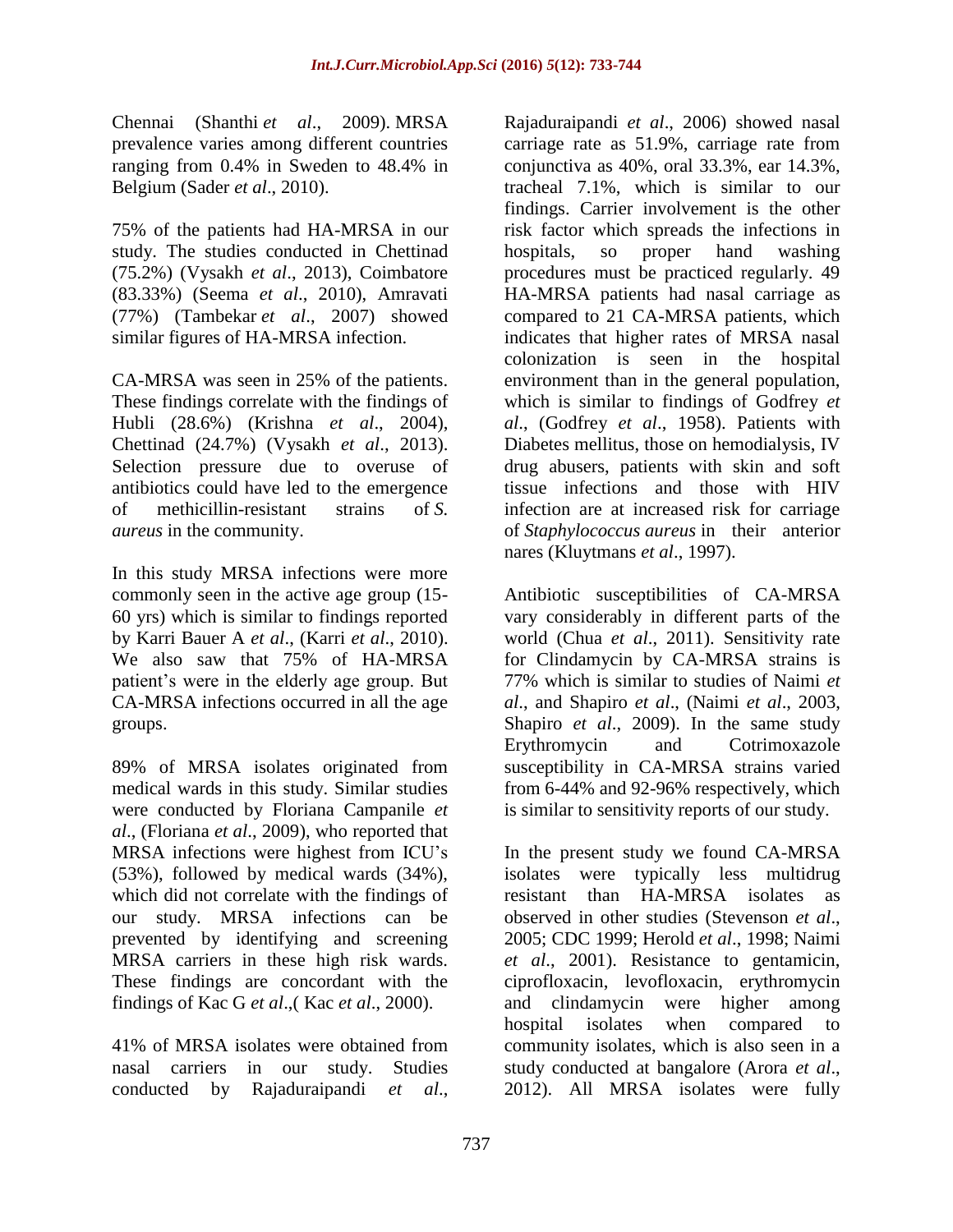Chennai (Shanthi *et al*., 2009). MRSA prevalence varies among different countries ranging from 0.4% in Sweden to 48.4% in Belgium (Sader *et al*., 2010).

75% of the patients had HA-MRSA in our study. The studies conducted in Chettinad (75.2%) (Vysakh *et al*., 2013), Coimbatore (83.33%) (Seema *et al*., 2010), Amravati (77%) (Tambekar *et al*., 2007) showed similar figures of HA-MRSA infection.

CA-MRSA was seen in 25% of the patients. These findings correlate with the findings of Hubli (28.6%) (Krishna *et al*., 2004), Chettinad (24.7%) (Vysakh *et al*., 2013). Selection pressure due to overuse of antibiotics could have led to the emergence of methicillin-resistant strains of *S. aureus* in the community.

In this study MRSA infections were more commonly seen in the active age group (15- 60 yrs) which is similar to findings reported by Karri Bauer A *et al*., (Karri *et al*., 2010). We also saw that 75% of HA-MRSA patient's were in the elderly age group. But CA-MRSA infections occurred in all the age groups.

89% of MRSA isolates originated from medical wards in this study. Similar studies were conducted by Floriana Campanile *et al*., (Floriana *et al*., 2009), who reported that MRSA infections were highest from ICU's (53%), followed by medical wards (34%), which did not correlate with the findings of our study. MRSA infections can be prevented by identifying and screening MRSA carriers in these high risk wards. These findings are concordant with the findings of Kac G *et al*.,( Kac *et al*., 2000).

41% of MRSA isolates were obtained from nasal carriers in our study. Studies conducted by Rajaduraipandi *et al*.,

Rajaduraipandi *et al*., 2006) showed nasal carriage rate as 51.9%, carriage rate from conjunctiva as 40%, oral 33.3%, ear 14.3%, tracheal 7.1%, which is similar to our findings. Carrier involvement is the other risk factor which spreads the infections in hospitals, so proper hand washing procedures must be practiced regularly. 49 HA-MRSA patients had nasal carriage as compared to 21 CA-MRSA patients, which indicates that higher rates of MRSA nasal colonization is seen in the hospital environment than in the general population, which is similar to findings of Godfrey *et al*., (Godfrey *et al*., 1958). Patients with Diabetes mellitus, those on hemodialysis, IV drug abusers, patients with skin and soft tissue infections and those with HIV infection are at increased risk for carriage of *Staphylococcus aureus* in their anterior nares (Kluytmans *et al*., 1997).

Antibiotic susceptibilities of CA-MRSA vary considerably in different parts of the world (Chua *et al*., 2011). Sensitivity rate for Clindamycin by CA-MRSA strains is 77% which is similar to studies of Naimi *et al*., and Shapiro *et al*., (Naimi *et al*., 2003, Shapiro *et al*., 2009). In the same study Erythromycin and Cotrimoxazole susceptibility in CA-MRSA strains varied from 6-44% and 92-96% respectively, which is similar to sensitivity reports of our study.

In the present study we found CA-MRSA isolates were typically less multidrug resistant than HA-MRSA isolates as observed in other studies (Stevenson *et al*., 2005; CDC 1999; Herold *et al*., 1998; Naimi *et al*., 2001). Resistance to gentamicin, ciprofloxacin, levofloxacin, erythromycin and clindamycin were higher among hospital isolates when compared to community isolates, which is also seen in a study conducted at bangalore (Arora *et al*., 2012). All MRSA isolates were fully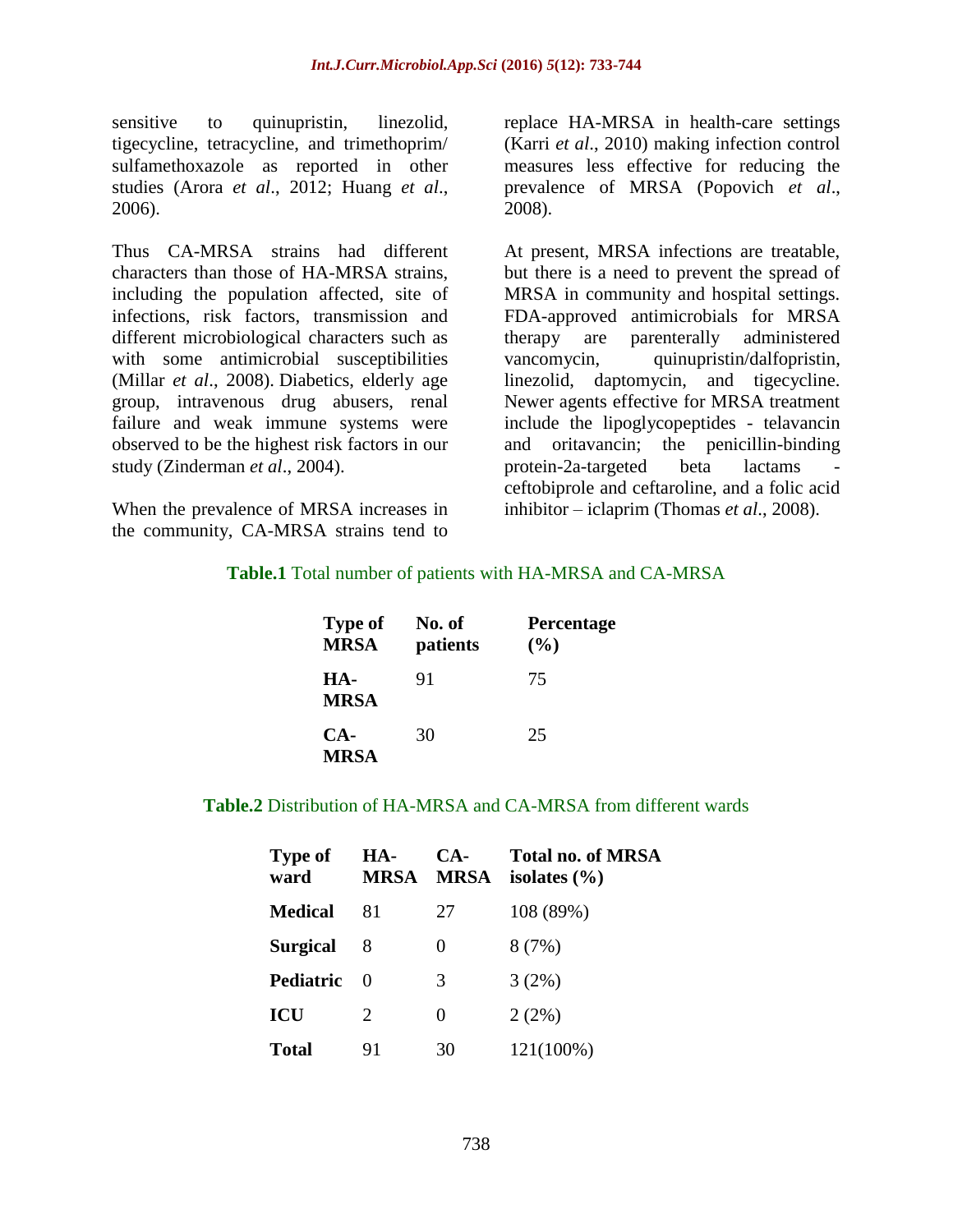sensitive to quinupristin, linezolid, tigecycline, tetracycline, and trimethoprim/ sulfamethoxazole as reported in other studies (Arora *et al*., 2012; Huang *et al*., 2006).

Thus CA-MRSA strains had different characters than those of HA-MRSA strains, including the population affected, site of infections, risk factors, transmission and different microbiological characters such as with some antimicrobial susceptibilities (Millar *et al*., 2008). Diabetics, elderly age group, intravenous drug abusers, renal failure and weak immune systems were observed to be the highest risk factors in our study (Zinderman *et al*., 2004).

When the prevalence of MRSA increases in the community, CA-MRSA strains tend to

replace HA-MRSA in health-care settings (Karri *et al*., 2010) making infection control measures less effective for reducing the prevalence of MRSA (Popovich *et al*., 2008).

At present, MRSA infections are treatable, but there is a need to prevent the spread of MRSA in community and hospital settings. FDA-approved antimicrobials for MRSA therapy are parenterally administered vancomycin, quinupristin/dalfopristin, linezolid, daptomycin, and tigecycline. Newer agents effective for MRSA treatment include the lipoglycopeptides - telavancin and oritavancin; the penicillin-binding protein-2a-targeted beta lactams ceftobiprole and ceftaroline, and a folic acid inhibitor – iclaprim (Thomas *et al*., 2008).

### **Table.1** Total number of patients with HA-MRSA and CA-MRSA

| <b>Type of</b><br><b>MRSA</b> | No. of<br>patients | <b>Percentage</b><br>(%) |
|-------------------------------|--------------------|--------------------------|
| HA-<br><b>MRSA</b>            | 91                 | 75                       |
| CA-<br><b>MRSA</b>            | 30                 | 25                       |

#### **Table.2** Distribution of HA-MRSA and CA-MRSA from different wards

| <b>Type of</b><br>ward | HA-<br><b>MRSA</b>    | $CA-$<br><b>MRSA</b> | Total no. of MRSA<br>isolates $(\% )$ |
|------------------------|-----------------------|----------------------|---------------------------------------|
| <b>Medical</b>         | 81                    | 27                   | 108 (89%)                             |
| <b>Surgical</b>        | 8                     | 0                    | 8(7%)                                 |
| <b>Pediatric</b>       | $\mathbf{0}$          | 3                    | 3(2%)                                 |
| <b>ICU</b>             | $\mathcal{D}_{\cdot}$ | 0                    | 2(2%)                                 |
| Total                  | 91                    | 30                   | 121(100%)                             |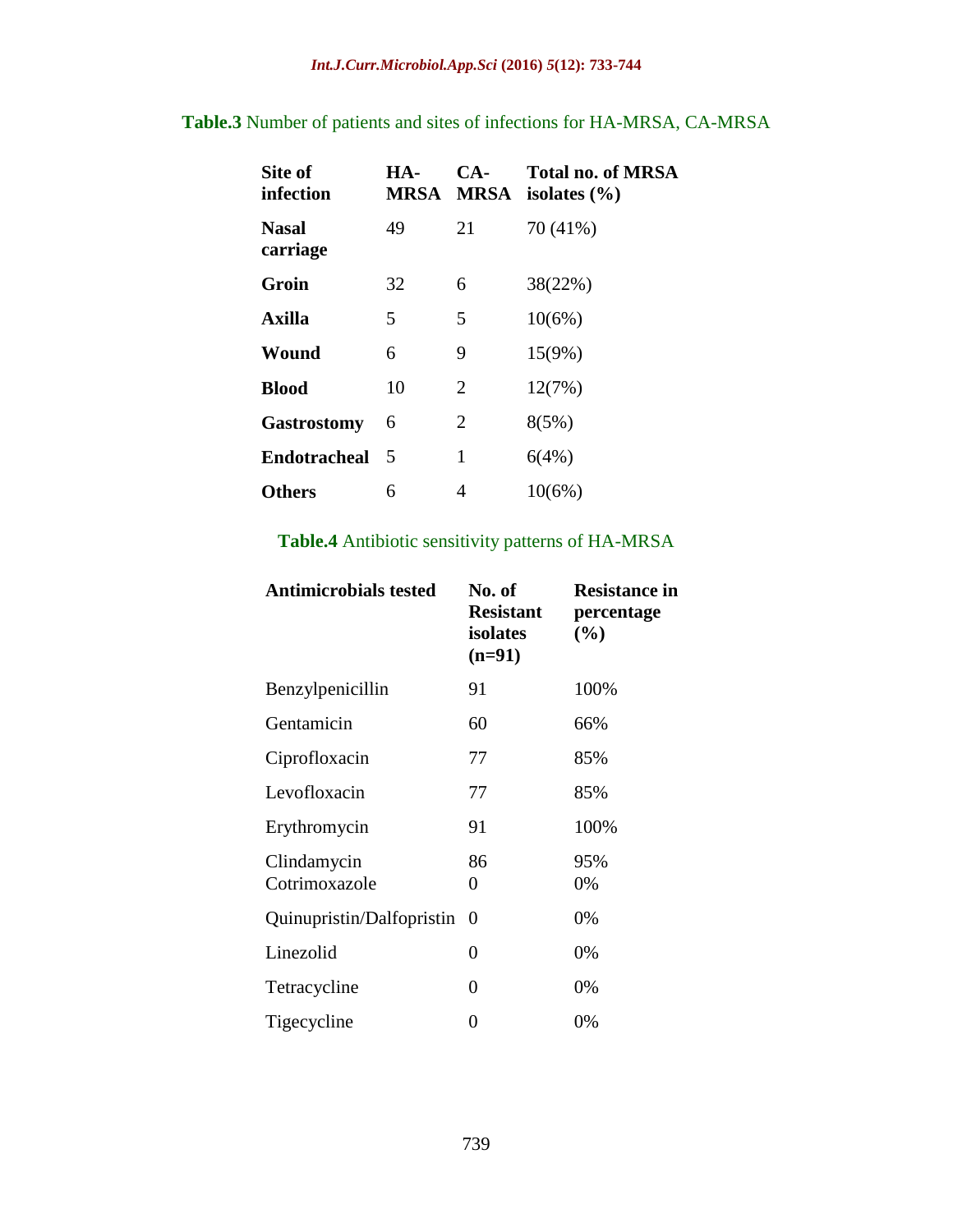# **Table.3** Number of patients and sites of infections for HA-MRSA, CA-MRSA

| Site of<br>infection     | HA-<br>MRSA | CA-<br><b>MRSA</b> | <b>Total no. of MRSA</b><br>isolates $(\% )$ |
|--------------------------|-------------|--------------------|----------------------------------------------|
| <b>Nasal</b><br>carriage | 49          | 21                 | 70 (41%)                                     |
| Groin                    | 32          | 6                  | 38(22%)                                      |
| <b>Axilla</b>            | 5           | 5                  | 10(6%)                                       |
| Wound                    | 6           | 9                  | $15(9\%)$                                    |
| <b>Blood</b>             | 10          | 2                  | 12(7%)                                       |
| <b>Gastrostomy</b>       | 6           | 2                  | 8(5%)                                        |
| <b>Endotracheal</b>      | 5           | 1                  | 6(4%)                                        |
| <b>Others</b>            | 6           | 4                  | $10(6\%)$                                    |

# **Table.4** Antibiotic sensitivity patterns of HA-MRSA

| <b>Antimicrobials tested</b> | No. of<br><b>Resistant</b><br>isolates<br>$(n=91)$ | <b>Resistance in</b><br>percentage<br>(%) |
|------------------------------|----------------------------------------------------|-------------------------------------------|
| Benzylpenicillin             | 91                                                 | 100%                                      |
| Gentamicin                   | 60                                                 | 66%                                       |
| Ciprofloxacin                | 77                                                 | 85%                                       |
| Levofloxacin                 | 77                                                 | 85%                                       |
| Erythromycin                 | 91                                                 | 100%                                      |
| Clindamycin<br>Cotrimoxazole | 86<br>0                                            | 95%<br>0%                                 |
| Quinupristin/Dalfopristin    | $\Omega$                                           | 0%                                        |
| Linezolid                    | 0                                                  | 0%                                        |
| Tetracycline                 | 0                                                  | 0%                                        |
| Tigecycline                  | 0                                                  | 0%                                        |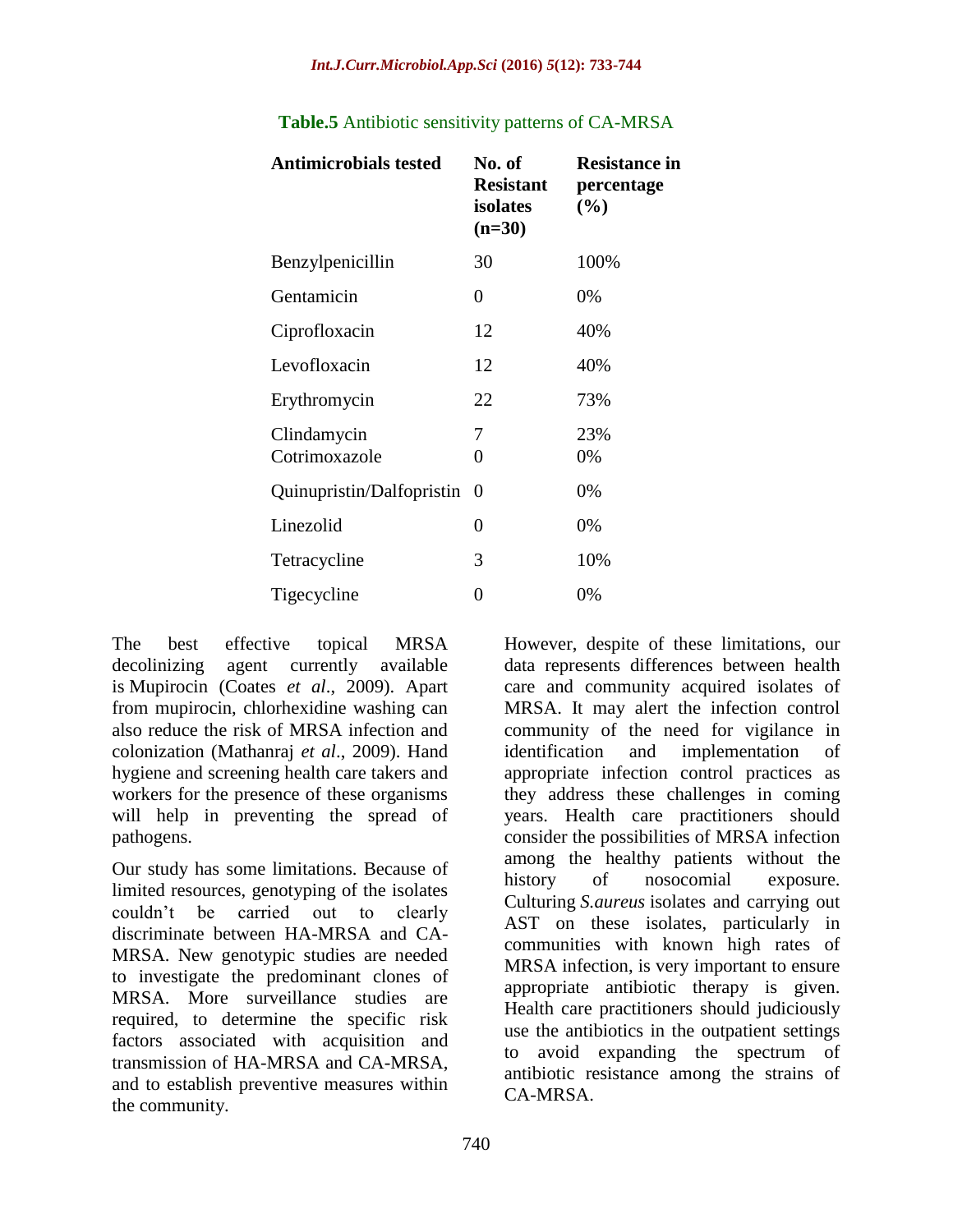| <b>Antimicrobials tested</b> | No. of<br><b>Resistant</b><br>isolates<br>$(n=30)$ | <b>Resistance in</b><br>percentage<br>$(\%)$ |
|------------------------------|----------------------------------------------------|----------------------------------------------|
| Benzylpenicillin             | 30                                                 | 100%                                         |
| Gentamicin                   | 0                                                  | 0%                                           |
| Ciprofloxacin                | 12                                                 | 40%                                          |
| Levofloxacin                 | 12                                                 | 40%                                          |
| Erythromycin                 | 22                                                 | 73%                                          |
| Clindamycin<br>Cotrimoxazole | 7<br>0                                             | 23%<br>0%                                    |
| Quinupristin/Dalfopristin    | $\theta$                                           | 0%                                           |
| Linezolid                    | 0                                                  | 0%                                           |
| Tetracycline                 | 3                                                  | 10%                                          |
| Tigecycline                  | 0                                                  | 0%                                           |

### **Table.5** Antibiotic sensitivity patterns of CA-MRSA

The best effective topical MRSA decolinizing agent currently available is Mupirocin (Coates *et al*., 2009). Apart from mupirocin, chlorhexidine washing can also reduce the risk of MRSA infection and colonization (Mathanraj *et al*., 2009). Hand hygiene and screening health care takers and workers for the presence of these organisms will help in preventing the spread of pathogens.

Our study has some limitations. Because of limited resources, genotyping of the isolates couldn't be carried out to clearly discriminate between HA-MRSA and CA-MRSA. New genotypic studies are needed to investigate the predominant clones of MRSA. More surveillance studies are required, to determine the specific risk factors associated with acquisition and transmission of HA-MRSA and CA-MRSA, and to establish preventive measures within the community.

However, despite of these limitations, our data represents differences between health care and community acquired isolates of MRSA. It may alert the infection control community of the need for vigilance in identification and implementation of appropriate infection control practices as they address these challenges in coming years. Health care practitioners should consider the possibilities of MRSA infection among the healthy patients without the history of nosocomial exposure. Culturing *S.aureus* isolates and carrying out AST on these isolates, particularly in communities with known high rates of MRSA infection, is very important to ensure appropriate antibiotic therapy is given. Health care practitioners should judiciously use the antibiotics in the outpatient settings to avoid expanding the spectrum of antibiotic resistance among the strains of CA-MRSA.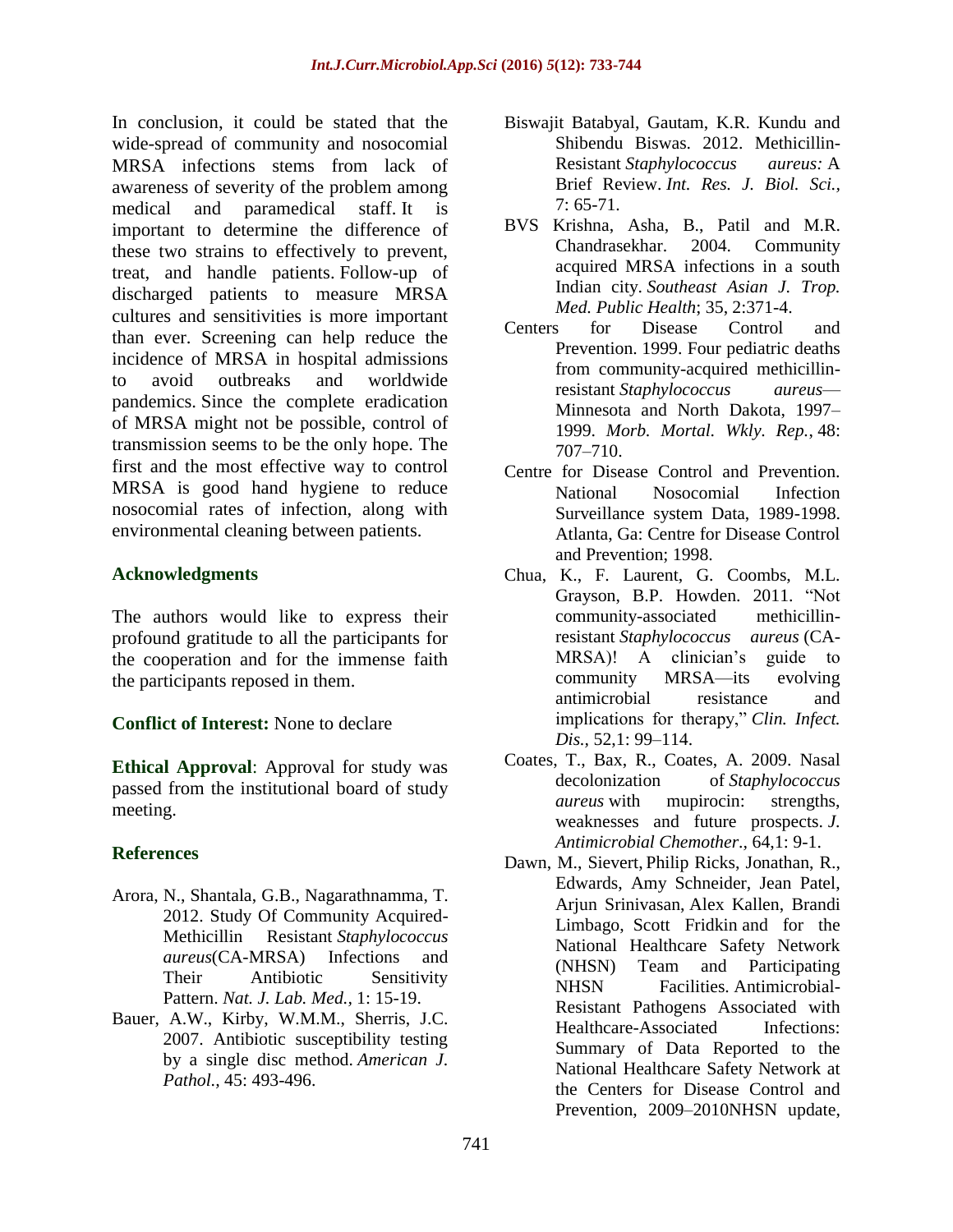In conclusion, it could be stated that the wide-spread of community and nosocomial MRSA infections stems from lack of awareness of severity of the problem among medical and paramedical staff. It is important to determine the difference of these two strains to effectively to prevent, treat, and handle patients. Follow-up of discharged patients to measure MRSA cultures and sensitivities is more important than ever. Screening can help reduce the incidence of MRSA in hospital admissions to avoid outbreaks and worldwide pandemics. Since the complete eradication of MRSA might not be possible, control of transmission seems to be the only hope. The first and the most effective way to control MRSA is good hand hygiene to reduce nosocomial rates of infection, along with environmental cleaning between patients.

#### **Acknowledgments**

The authors would like to express their profound gratitude to all the participants for the cooperation and for the immense faith the participants reposed in them.

**Conflict of Interest:** None to declare

**Ethical Approval**: Approval for study was passed from the institutional board of study meeting.

# **References**

- Arora, N., Shantala, G.B., Nagarathnamma, T. 2012. Study Of Community Acquired-Methicillin Resistant *Staphylococcus aureus*(CA-MRSA) Infections and Their Antibiotic Sensitivity Pattern. *Nat. J. Lab. Med.,* 1: 15-19.
- Bauer, A.W., Kirby, W.M.M., Sherris, J.C. 2007. Antibiotic susceptibility testing by a single disc method. *American J. Pathol.,* 45: 493-496.
- Biswajit Batabyal, Gautam, K.R. Kundu and Shibendu Biswas. 2012. Methicillin-Resistant *Staphylococcus aureus:* A Brief Review. *Int. Res. J. Biol. Sci.,* 7: 65-71.
- BVS Krishna, Asha, B., Patil and M.R. Chandrasekhar. 2004. Community acquired MRSA infections in a south Indian city. *Southeast Asian J. Trop. Med. Public Health*; 35, 2:371-4.
- Centers for Disease Control and Prevention. 1999. Four pediatric deaths from community-acquired methicillinresistant *Staphylococcus aureus*— Minnesota and North Dakota, 1997– 1999. *Morb. Mortal. Wkly. Rep.*, 48: 707–710.
- Centre for Disease Control and Prevention. National Nosocomial Infection Surveillance system Data, 1989-1998. Atlanta, Ga: Centre for Disease Control and Prevention; 1998.
- Chua, K., F. Laurent, G. Coombs, M.L. Grayson, B.P. Howden. 2011. "Not community-associated methicillinresistant *Staphylococcus aureus* (CA-MRSA)! A clinician's guide to community MRSA—its evolving antimicrobial resistance and implications for therapy," *Clin. Infect. Dis.,* 52,1: 99–114.
- Coates, T., Bax, R., Coates, A. 2009. Nasal decolonization of *Staphylococcus aureus* with mupirocin: strengths, weaknesses and future prospects. *J. Antimicrobial Chemother.,* 64,1: 9-1.
- Dawn, M., Sievert, Philip Ricks, Jonathan, R., Edwards, Amy Schneider, Jean Patel, Arjun Srinivasan, Alex Kallen, Brandi Limbago, Scott Fridkin and for the National Healthcare Safety Network (NHSN) Team and Participating NHSN Facilities. Antimicrobial-Resistant Pathogens Associated with Healthcare-Associated Infections: Summary of Data Reported to the National Healthcare Safety Network at the Centers for Disease Control and Prevention, 2009–2010NHSN update,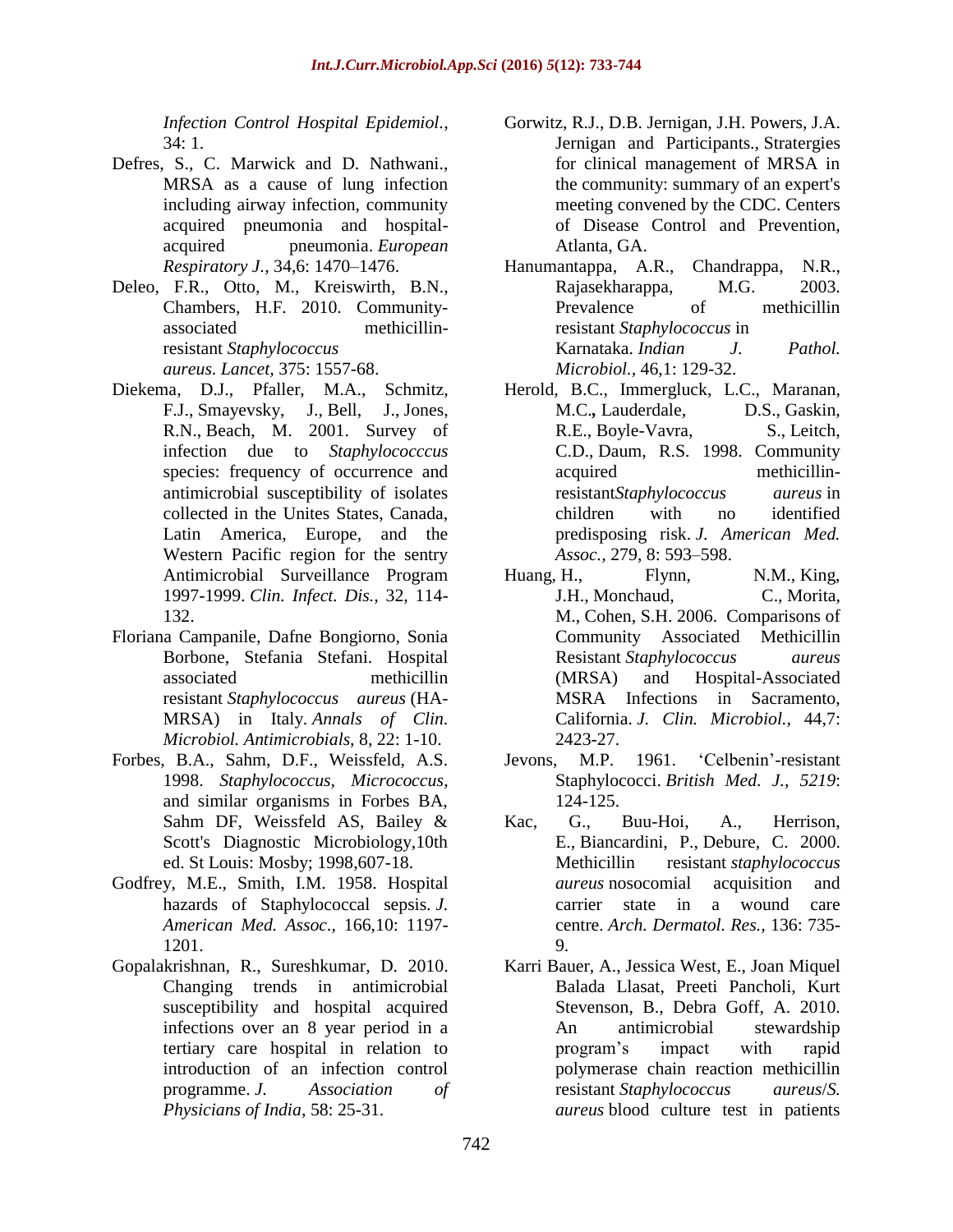*Infection Control Hospital Epidemiol.,*  34: 1.

- Defres, S., C. Marwick and D. Nathwani., MRSA as a cause of lung infection including airway infection, community acquired pneumonia and hospitalacquired pneumonia. *European Respiratory J.,* 34,6: 1470–1476.
- Deleo, F.R., Otto, M., Kreiswirth, B.N., Chambers, H.F. 2010. Communityassociated methicillinresistant *Staphylococcus aureus*. *Lancet,* 375: 1557-68.
- Diekema, D.J., Pfaller, M.A., Schmitz, F.J., [Smayevsky,](http://www.ncbi.nlm.nih.gov/pubmed?term=Smayevsky%20J%5BAuthor%5D&cauthor=true&cauthor_uid=11320452) J., [Bell,](http://www.ncbi.nlm.nih.gov/pubmed?term=Bell%20J%5BAuthor%5D&cauthor=true&cauthor_uid=11320452) J., [Jones,](http://www.ncbi.nlm.nih.gov/pubmed?term=Jones%20RN%5BAuthor%5D&cauthor=true&cauthor_uid=11320452) [R.N.](http://www.ncbi.nlm.nih.gov/pubmed?term=Jones%20RN%5BAuthor%5D&cauthor=true&cauthor_uid=11320452), [Beach,](http://www.ncbi.nlm.nih.gov/pubmed?term=Beach%20M%5BAuthor%5D&cauthor=true&cauthor_uid=11320452) M. 2001. Survey of infection due to *Staphylococccus* species: frequency of occurrence and antimicrobial susceptibility of isolates collected in the Unites States, Canada, Latin America, Europe, and the Western Pacific region for the sentry Antimicrobial Surveillance Program 1997-1999. *Clin. Infect. Dis.,* 32, 114- 132.
- Floriana Campanile, Dafne Bongiorno, Sonia Borbone, Stefania Stefani. Hospital associated methicillin resistant *Staphylococcus aureus* (HA-MRSA) in Italy. *Annals of Clin. Microbiol. Antimicrobials*, 8, 22: 1-10.
- Forbes, B.A., Sahm, D.F., Weissfeld, A.S. 1998. *Staphylococcus, Micrococcus*, and similar organisms in Forbes BA, Sahm DF, Weissfeld AS, Bailey & Scott's Diagnostic Microbiology,10th ed. St Louis: Mosby; 1998,607-18.
- Godfrey, M.E., Smith, I.M. 1958. Hospital hazards of Staphylococcal sepsis. *J. American Med. Assoc.,* 166,10: 1197- 1201.
- Gopalakrishnan, R., Sureshkumar, D. 2010. Changing trends in antimicrobial susceptibility and hospital acquired infections over an 8 year period in a tertiary care hospital in relation to introduction of an infection control programme. *J. Association of Physicians of India*, 58: 25-31.
- Gorwitz, R.J., D.B. Jernigan, J.H. Powers, J.A. Jernigan and Participants., Stratergies for clinical management of MRSA in the community: summary of an expert's meeting convened by the CDC. Centers of Disease Control and Prevention, Atlanta, GA.
- Hanumantappa, A.R., Chandrappa, N.R., Rajasekharappa, M.G. 2003. Prevalence of methicillin resistant *Staphylococcus* in Karnataka. *Indian J. Pathol. Microbiol.,* 46,1: 129-32.
- Herold, B.C., Immergluck, L.C., Maranan, M.C.*,* [Lauderdale,](http://www.ncbi.nlm.nih.gov/pubmed?term=Lauderdale%20DS%5BAuthor%5D&cauthor=true&cauthor_uid=9486753) D.S., [Gaskin,](http://www.ncbi.nlm.nih.gov/pubmed?term=Gaskin%20RE%5BAuthor%5D&cauthor=true&cauthor_uid=9486753) [R.E.](http://www.ncbi.nlm.nih.gov/pubmed?term=Gaskin%20RE%5BAuthor%5D&cauthor=true&cauthor_uid=9486753), [Boyle-Vavra,](http://www.ncbi.nlm.nih.gov/pubmed?term=Boyle-Vavra%20S%5BAuthor%5D&cauthor=true&cauthor_uid=9486753) S., [Leitch,](http://www.ncbi.nlm.nih.gov/pubmed?term=Leitch%20CD%5BAuthor%5D&cauthor=true&cauthor_uid=9486753) [C.D.](http://www.ncbi.nlm.nih.gov/pubmed?term=Leitch%20CD%5BAuthor%5D&cauthor=true&cauthor_uid=9486753), [Daum,](http://www.ncbi.nlm.nih.gov/pubmed?term=Daum%20RS%5BAuthor%5D&cauthor=true&cauthor_uid=9486753) R.S. 1998. Community acquired methicillinresistant*Staphylococcus aureus* in children with no identified predisposing risk. *J. American Med. Assoc.,* 279, 8: 593–598.
- Huang, H., [Flynn,](http://www.ncbi.nlm.nih.gov/pubmed?term=Flynn%20NM%5BAuthor%5D&cauthor=true&cauthor_uid=16825359) N.M., [King,](http://www.ncbi.nlm.nih.gov/pubmed?term=King%20JH%5BAuthor%5D&cauthor=true&cauthor_uid=16825359) [J.H.](http://www.ncbi.nlm.nih.gov/pubmed?term=King%20JH%5BAuthor%5D&cauthor=true&cauthor_uid=16825359), [Monchaud,](http://www.ncbi.nlm.nih.gov/pubmed?term=Monchaud%20C%5BAuthor%5D&cauthor=true&cauthor_uid=16825359) C., [Morita,](http://www.ncbi.nlm.nih.gov/pubmed?term=Morita%20M%5BAuthor%5D&cauthor=true&cauthor_uid=16825359) [M.](http://www.ncbi.nlm.nih.gov/pubmed?term=Morita%20M%5BAuthor%5D&cauthor=true&cauthor_uid=16825359), [Cohen,](http://www.ncbi.nlm.nih.gov/pubmed?term=Cohen%20SH%5BAuthor%5D&cauthor=true&cauthor_uid=16825359) S.H. 2006. Comparisons of Community Associated Methicillin Resistant *Staphylococcus aureus* (MRSA) and Hospital-Associated MSRA Infections in Sacramento, California. *J. Clin. Microbiol.,* 44,7: 2423-27.
- Jevons, M.P. 1961. 'Celbenin'-resistant Staphylococci. *British Med. J., 5219*: 124-125.
- Kac, G., Buu-Hoi, A., Herrison, E., [Biancardini,](http://www.ncbi.nlm.nih.gov/pubmed?term=Biancardini%20P%5BAuthor%5D&cauthor=true&cauthor_uid=10871935) P., [Debure,](http://www.ncbi.nlm.nih.gov/pubmed?term=Debure%20C%5BAuthor%5D&cauthor=true&cauthor_uid=10871935) C. 2000. Methicillin resistant *staphylococcus aureus* nosocomial acquisition and carrier state in a wound care centre. *Arch. Dermatol. Res.,* 136: 735- 9.
- Karri Bauer, A., Jessica West, E., Joan Miquel Balada Llasat, Preeti Pancholi, Kurt Stevenson, B., Debra Goff, A. 2010. An antimicrobial stewardship program's impact with rapid polymerase chain reaction methicillin resistant *Staphylococcus aureus*/*S. aureus* blood culture test in patients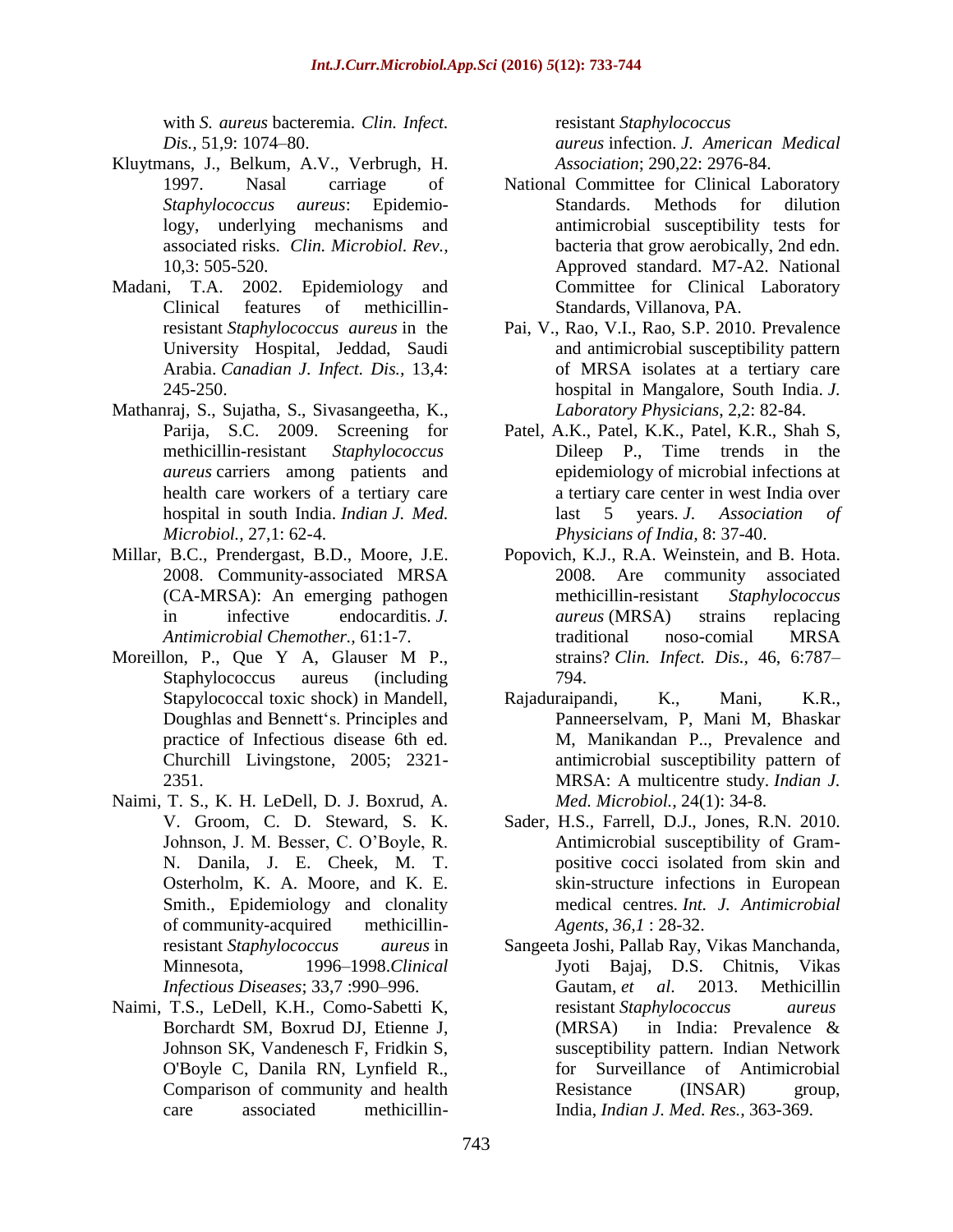with *S. aureus* bacteremia. *Clin. Infect. Dis.,* 51,9: 1074–80.

- Kluytmans, J., Belkum, A.V., Verbrugh, H. 1997. Nasal carriage of *Staphylococcus aureus*: Epidemiology, underlying mechanisms and associated risks. *Clin. Microbiol. Rev.,* 10,3: 505-520.
- Madani, T.A. 2002. Epidemiology and Clinical features of methicillinresistant *Staphylococcus aureus* in the University Hospital, Jeddad, Saudi Arabia. *Canadian J. Infect. Dis.,* 13,4: 245-250.
- Mathanraj, S., Sujatha, S., Sivasangeetha, K., Parija, S.C. 2009. Screening for methicillin-resistant *Staphylococcus aureus* carriers among patients and health care workers of a tertiary care hospital in south India. *Indian J. Med. Microbiol.,* 27,1: 62-4.
- Millar, B.C., Prendergast, B.D., Moore, J.E. 2008. Community-associated MRSA (CA-MRSA): An emerging pathogen in infective endocarditis. *J. Antimicrobial Chemother.,* 61:1-7.
- Moreillon, P., Que Y A, Glauser M P., Staphylococcus aureus (including Stapylococcal toxic shock) in Mandell, Doughlas and Bennett's. Principles and practice of Infectious disease 6th ed. Churchill Livingstone, 2005; 2321- 2351.
- Naimi, T. S., K. H. LeDell, D. J. Boxrud, A. V. Groom, C. D. Steward, S. K. Johnson, J. M. Besser, C. O'Boyle, R. N. Danila, J. E. Cheek, M. T. Osterholm, K. A. Moore, and K. E. Smith., Epidemiology and clonality of community-acquired methicillinresistant *Staphylococcus aureus* in Minnesota, 1996–1998.*Clinical Infectious Diseases*; 33,7 :990–996.
- Naimi, T.S., LeDell, K.H., Como-Sabetti K, Borchardt SM, Boxrud DJ, Etienne J, Johnson SK, Vandenesch F, Fridkin S, O'Boyle C, Danila RN, Lynfield R., Comparison of community and health care associated methicillin-

resistant *Staphylococcus aureus* infection. *J. American Medical Association*; 290,22: 2976-84.

- National Committee for Clinical Laboratory Standards. Methods for dilution antimicrobial susceptibility tests for bacteria that grow aerobically, 2nd edn. Approved standard. M7-A2. National Committee for Clinical Laboratory Standards, Villanova, PA.
- Pai, V., Rao, V.I., Rao, S.P. 2010. Prevalence and antimicrobial susceptibility pattern of MRSA isolates at a tertiary care hospital in Mangalore, South India. *J. Laboratory Physicians*, 2,2: 82-84.
- Patel, A.K., Patel, K.K., Patel, K.R., Shah S, Dileep P., Time trends in the epidemiology of microbial infections at a tertiary care center in west India over last 5 years. *J. Association of Physicians of India,* 8: 37-40.
- Popovich, K.J., R.A. Weinstein, and B. Hota. 2008. Are community associated methicillin-resistant *Staphylococcus aureus* (MRSA) strains replacing traditional noso-comial MRSA strains? *Clin. Infect. Dis.,* 46, 6:787– 794.
- Rajaduraipandi, K., Mani, K.R., Panneerselvam, P, Mani M, Bhaskar M, Manikandan P.., Prevalence and antimicrobial susceptibility pattern of MRSA: A multicentre study. *Indian J. Med. Microbiol.,* 24(1): 34-8.
- Sader, H.S., Farrell, D.J., Jones, R.N. 2010. Antimicrobial susceptibility of Grampositive cocci isolated from skin and skin-structure infections in European medical centres. *Int. J. Antimicrobial Agents*, *36,1* : 28-32.
- Sangeeta Joshi, Pallab Ray, Vikas Manchanda, Jyoti Bajaj, D.S. Chitnis, Vikas Gautam, *et al*. 2013. Methicillin resistant *Staphylococcus aureus* (MRSA) in India: Prevalence & susceptibility pattern. Indian Network for Surveillance of Antimicrobial Resistance (INSAR) group, India, *Indian J. Med. Res.,* 363-369.